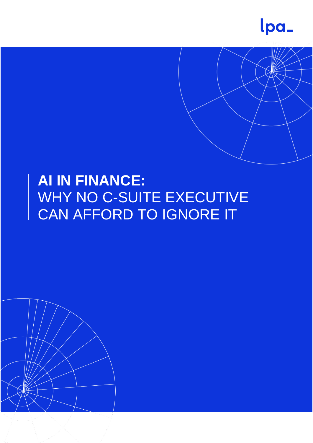



# **AI IN FINANCE:**  WHY NO C-SUITE EXECUTIVE CAN AFFORD TO IGNORE IT

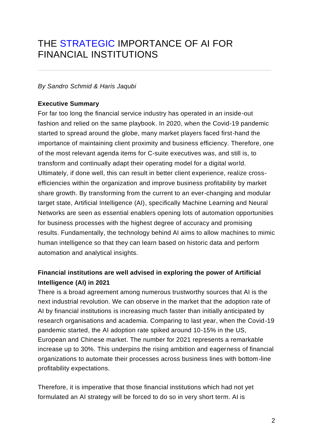## THE [STRATEGIC](https://www.analyticsinsight.net/category/latest-news/) IMPORTANCE OF AI FOR FINANCIAL INSTITUTIONS

#### *By Sandro Schmid & Haris Jaqubi*

#### **Executive Summary**

For far too long the financial service industry has operated in an inside-out fashion and relied on the same playbook. In 2020, when the Covid-19 pandemic started to spread around the globe, many market players faced first-hand the importance of maintaining client proximity and business efficiency. Therefore, one of the most relevant agenda items for C-suite executives was, and still is, to transform and continually adapt their operating model for a digital world. Ultimately, if done well, this can result in better client experience, realize crossefficiencies within the organization and improve business profitability by market share growth. By transforming from the current to an ever-changing and modular target state, Artificial Intelligence (AI), specifically Machine Learning and Neural Networks are seen as essential enablers opening lots of automation opportunities for business processes with the highest degree of accuracy and promising results. Fundamentally, the technology behind AI aims to allow machines to mimic human intelligence so that they can learn based on historic data and perform automation and analytical insights.

## **Financial institutions are well advised in exploring the power of Artificial Intelligence (AI) in 2021**

There is a broad agreement among numerous trustworthy sources that AI is the next industrial revolution. We can observe in the market that the adoption rate of AI by financial institutions is increasing much faster than initially anticipated by research organisations and academia. Comparing to last year, when the Covid-19 pandemic started, the AI adoption rate spiked around 10-15% in the US, European and Chinese market. The number for 2021 represents a remarkable increase up to 30%. This underpins the rising ambition and eagerness of financial organizations to automate their processes across business lines with bottom-line profitability expectations.

Therefore, it is imperative that those financial institutions which had not yet formulated an AI strategy will be forced to do so in very short term. AI is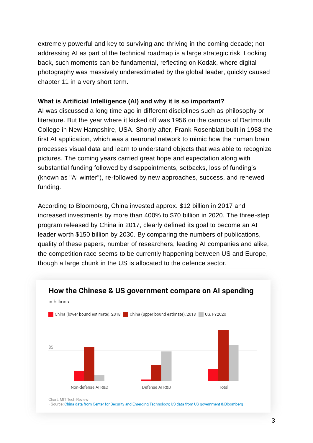extremely powerful and key to surviving and thriving in the coming decade; not addressing AI as part of the technical roadmap is a large strategic risk. Looking back, such moments can be fundamental, reflecting on Kodak, where digital photography was massively underestimated by the global leader, quickly caused chapter 11 in a very short term.

#### **What is Artificial Intelligence (AI) and why it is so important?**

AI was discussed a long time ago in different disciplines such as philosophy or literature. But the year where it kicked off was 1956 on the campus of Dartmouth College in New Hampshire, USA. Shortly after, Frank Rosenblatt built in 1958 the first AI application, which was a neuronal network to mimic how the human brain processes visual data and learn to understand objects that was able to recognize pictures. The coming years carried great hope and expectation along with substantial funding followed by disappointments, setbacks, loss of funding's (known as "AI winter"), re-followed by new approaches, success, and renewed funding.

According to Bloomberg, China invested approx. \$12 billion in 2017 and increased investments by more than 400% to \$70 billion in 2020. The three-step program released by China in 2017, clearly defined its goal to become an AI leader worth \$150 billion by 2030. By comparing the numbers of publications, quality of these papers, number of researchers, leading AI companies and alike, the competition race seems to be currently happening between US and Europe, [though a large chunk in the US is allocated to the defence sector.](https://www.datawrapper.de/_/DRUNB/)



· Source: China data from Center for Security and Emerging Technology; US data from US government & Bloomberg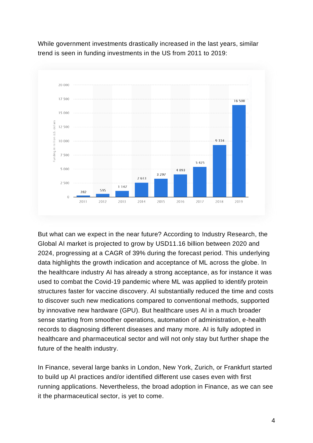

While government investments drastically increased in the last years, similar [trend is seen in funding investments in the US from 2011 to 2019:](https://www.statista.com/statistics/672712/ai-funding-united-states/)

But what can we expect in the near future? According to Industry [Research,](https://www.industryresearch.co/global-machine-learning-market-15493265) the Global AI market is projected to grow by USD11.16 billion between 2020 and 2024, progressing at a CAGR of 39% during the forecast period. This underlying data highlights the growth indication and acceptance of ML across the globe. In the healthcare industry AI has already a strong acceptance, as for instance it was used to combat the Covid-19 pandemic where ML was applied to identify protein structures faster for vaccine discovery. AI substantially reduced the time and costs to discover such new medications compared to conventional methods, supported by innovative new hardware (GPU). But healthcare uses AI in a much broader sense starting from smoother operations, automation of administration, e-health records to diagnosing different diseases and many more. AI is fully adopted in healthcare and pharmaceutical sector and will not only stay but further shape the future of the health industry.

In Finance, several large banks in London, New York, Zurich, or Frankfurt started to build up AI practices and/or identified different use cases even with first running applications. Nevertheless, the broad adoption in Finance, as we can see it the pharmaceutical sector, is yet to come.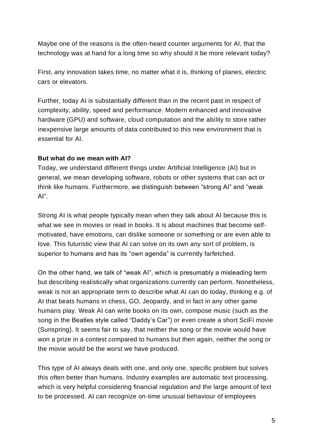Maybe one of the reasons is the often-heard counter arguments for AI, that the technology was at hand for a long time so why should it be more relevant today?

First, any innovation takes time, no matter what it is, thinking of planes, electric cars or elevators.

Further, today AI is substantially different than in the recent past in respect of complexity, ability, speed and performance. Modern enhanced and innovative hardware (GPU) and software, cloud computation and the ability to store rather inexpensive large amounts of data contributed to this new environment that is essential for AI.

#### **But what do we mean with AI?**

Today, we understand different things under Artificial Intelligence (AI) but in general, we mean developing software, robots or other systems that can act or think like humans. Furthermore, we distinguish between "strong AI" and "weak AI".

Strong AI is what people typically mean when they talk about AI because this is what we see in movies or read in books. It is about machines that become selfmotivated, have emotions, can dislike someone or something or are even able to love. This futuristic view that AI can solve on its own any sort of problem, is superior to humans and has its "own agenda" is currently farfetched.

On the other hand, we talk of "weak AI", which is presumably a misleading term but describing realistically what organizations currently can perform. Nonetheless, weak is not an appropriate term to describe what AI can do today, thinking e.g. of AI that beats humans in chess, GO, Jeopardy, and in fact in any other game humans play. Weak AI can write books on its own, compose music (such as the song in the Beatles style called "Daddy's Car") or even create a short SciFi movie (Sunspring). It seems fair to say, that neither the song or the movie would have won a prize in a contest compared to humans but then again, neither the song or the movie would be the worst we have produced.

This type of AI always deals with one, and only one, specific problem but solves this often better than humans. Industry examples are automatic text processing, which is very helpful considering financial regulation and the large amount of text to be processed. AI can recognize on-time unusual behaviour of employees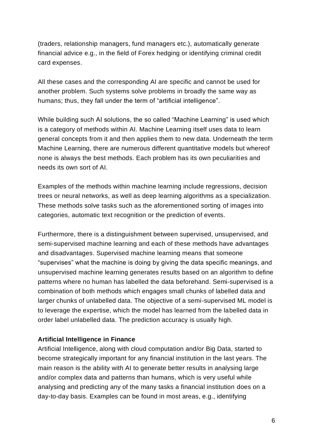(traders, relationship managers, fund managers etc.), automatically generate financial advice e.g., in the field of Forex hedging or identifying criminal credit card expenses.

All these cases and the corresponding AI are specific and cannot be used for another problem. Such systems solve problems in broadly the same way as humans; thus, they fall under the term of "artificial intelligence".

While building such AI solutions, the so called "Machine Learning" is used which is a category of methods within AI. Machine Learning itself uses data to learn general concepts from it and then applies them to new data. Underneath the term Machine Learning, there are numerous different quantitative models but whereof none is always the best methods. Each problem has its own peculiarities and needs its own sort of AI.

Examples of the methods within machine learning include regressions, decision trees or neural networks, as well as deep learning algorithms as a specialization. These methods solve tasks such as the aforementioned sorting of images into categories, automatic text recognition or the prediction of events.

Furthermore, there is a distinguishment between supervised, unsupervised, and semi-supervised machine learning and each of these methods have advantages and disadvantages. Supervised machine learning means that someone "supervises" what the machine is doing by giving the data specific meanings, and unsupervised machine learning generates results based on an algorithm to define patterns where no human has labelled the data beforehand. Semi-supervised is a combination of both methods which engages small chunks of labelled data and larger chunks of unlabelled data. The objective of a semi-supervised ML model is to leverage the expertise, which the model has learned from the labelled data in order label unlabelled data. The prediction accuracy is usually high.

#### **Artificial Intelligence in Finance**

Artificial Intelligence, along with cloud computation and/or Big Data, started to become strategically important for any financial institution in the last years. The main reason is the ability with AI to generate better results in analysing large and/or complex data and patterns than humans, which is very useful while analysing and predicting any of the many tasks a financial institution does on a day-to-day basis. Examples can be found in most areas, e.g., identifying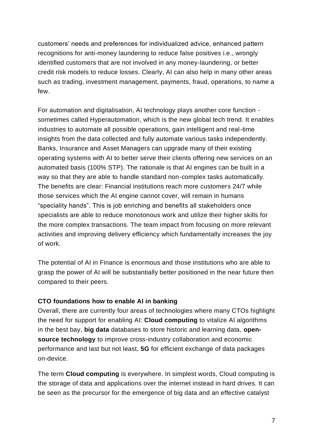customers' needs and preferences for individualized advice, enhanced pattern recognitions for anti-money laundering to reduce false positives i.e., wrongly identified customers that are not involved in any money-laundering, or better credit risk models to reduce losses. Clearly, AI can also help in many other areas such as trading, investment management, payments, fraud, operations, to name a few.

For automation and digitalisation, AI technology plays another core function sometimes called Hyperautomation, which is the new global tech trend. It enables industries to automate all possible operations, gain intelligent and real-time insights from the data collected and fully automate various tasks independently. Banks, Insurance and Asset Managers can upgrade many of their existing operating systems with AI to better serve their clients offering new services on an automated basis (100% STP). The rationale is that AI engines can be built in a way so that they are able to handle standard non-complex tasks automatically. The benefits are clear: Financial institutions reach more customers 24/7 while those services which the AI engine cannot cover, will remain in humans "speciality hands". This is job enriching and benefits all stakeholders once specialists are able to reduce monotonous work and utilize their higher skills for the more complex transactions. The team impact from focusing on more relevant activities and improving delivery efficiency which fundamentally increases the joy of work.

The potential of AI in Finance is enormous and those institutions who are able to grasp the power of AI will be substantially better positioned in the near future then compared to their peers.

#### **CTO foundations how to enable AI in banking**

Overall, there are currently four areas of technologies where many CTOs highlight the need for support for enabling AI: **Cloud computing** to vitalize AI algorithms in the best bay, **big data** databases to store historic and learning data, **opensource technology** to improve cross-industry collaboration and economic performance and last but not least, **5G** for efficient exchange of data packages on-device.

The term **Cloud computing** is everywhere. In simplest words, Cloud computing is the storage of data and applications over the internet instead in hard drives. It can be seen as the precursor for the emergence of big data and an effective catalyst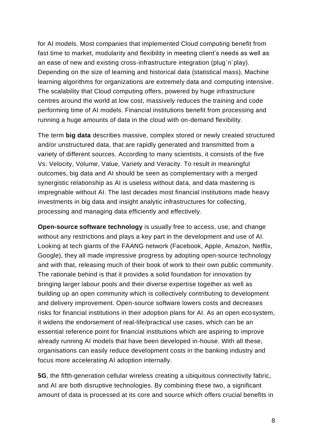for AI models. Most companies that implemented Cloud computing benefit from fast time to market, modularity and flexibility in meeting client's needs as well as an ease of new and existing cross-infrastructure integration (plug´n´play). Depending on the size of learning and historical data (statistical mass), Machine learning algorithms for organizations are extremely data and computing intensive. The scalability that Cloud computing offers, powered by huge infrastructure centres around the world at low cost, massively reduces the training and code performing time of AI models. Financial institutions benefit from processing and running a huge amounts of data in the cloud with on-demand flexibility.

The term **big data** describes massive, complex stored or newly created structured and/or unstructured data, that are rapidly generated and transmitted from a variety of different sources. According to many scientists, it consists of the five Vs: Velocity, Volume, Value, Variety and Veracity. To result in meaningful outcomes, big data and AI should be seen as complementary with a merged synergistic relationship as AI is useless without data, and data mastering is impregnable without AI. The last decades most financial institutions made heavy investments in big data and insight analytic infrastructures for collecting, processing and managing data efficiently and effectively.

**Open-source software technology** is usually free to access, use, and change without any restrictions and plays a key part in the development and use of AI. Looking at tech giants of the FAANG network (Facebook, Apple, Amazon, Netflix, Google), they all made impressive progress by adopting open-source technology and with that, releasing much of their book of work to their own public community. The rationale behind is that it provides a solid foundation for innovation by bringing larger labour pools and their diverse expertise together as well as building up an open community which is collectively contributing to development and delivery improvement. Open-source software lowers costs and decreases risks for financial institutions in their adoption plans for AI. As an open ecosystem, it widens the endorsement of real-life/practical use cases, which can be an essential reference point for financial institutions which are aspiring to improve already running AI models that have been developed in-house. With all these, organisations can easily reduce development costs in the banking industry and focus more accelerating AI adoption internally.

**5G**, the fifth-generation cellular wireless creating a ubiquitous connectivity fabric, and AI are both disruptive technologies. By combining these two, a significant amount of data is processed at its core and source which offers crucial benefits in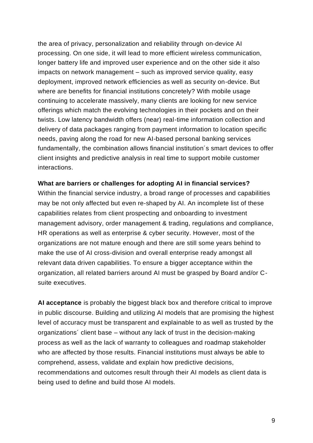the area of privacy, personalization and reliability through on-device AI processing. On one side, it will lead to more efficient wireless communication, longer battery life and improved user experience and on the other side it also impacts on network management – such as improved service quality, easy deployment, improved network efficiencies as well as security on-device. But where are benefits for financial institutions concretely? With mobile usage continuing to accelerate massively, many clients are looking for new service offerings which match the evolving technologies in their pockets and on their twists. Low latency bandwidth offers (near) real-time information collection and delivery of data packages ranging from payment information to location specific needs, paving along the road for new AI-based personal banking services fundamentally, the combination allows financial institution´s smart devices to offer client insights and predictive analysis in real time to support mobile customer interactions.

#### **What are barriers or challenges for adopting AI in financial services?**

Within the financial service industry, a broad range of processes and capabilities may be not only affected but even re-shaped by AI. An incomplete list of these capabilities relates from client prospecting and onboarding to investment management advisory, order management & trading, regulations and compliance, HR operations as well as enterprise & cyber security. However, most of the organizations are not mature enough and there are still some years behind to make the use of AI cross-division and overall enterprise ready amongst all relevant data driven capabilities. To ensure a bigger acceptance within the organization, all related barriers around AI must be grasped by Board and/or Csuite executives.

**AI acceptance** is probably the biggest black box and therefore critical to improve in public discourse. Building and utilizing AI models that are promising the highest level of accuracy must be transparent and explainable to as well as trusted by the organizations´ client base – without any lack of trust in the decision-making process as well as the lack of warranty to colleagues and roadmap stakeholder who are affected by those results. Financial institutions must always be able to comprehend, assess, validate and explain how predictive decisions, recommendations and outcomes result through their AI models as client data is being used to define and build those AI models.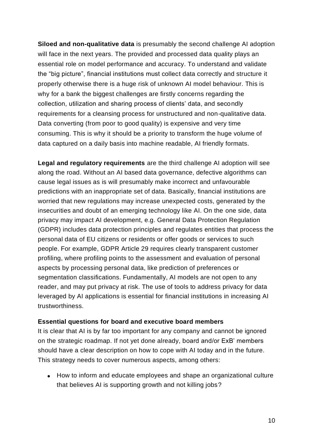**Siloed and non-qualitative data** is presumably the second challenge AI adoption will face in the next years. The provided and processed data quality plays an essential role on model performance and accuracy. To understand and validate the "big picture", financial institutions must collect data correctly and structure it properly otherwise there is a huge risk of unknown AI model behaviour. This is why for a bank the biggest challenges are firstly concerns regarding the collection, utilization and sharing process of clients' data, and secondly requirements for a cleansing process for unstructured and non-qualitative data. Data converting (from poor to good quality) is expensive and very time consuming. This is why it should be a priority to transform the huge volume of data captured on a daily basis into machine readable, AI friendly formats.

**Legal and regulatory requirements** are the third challenge AI adoption will see along the road. Without an AI based data governance, defective algorithms can cause legal issues as is will presumably make incorrect and unfavourable predictions with an inappropriate set of data. Basically, financial institutions are worried that new regulations may increase unexpected costs, generated by the insecurities and doubt of an emerging technology like AI. On the one side, data privacy may impact AI development, e.g. General Data Protection Regulation (GDPR) includes data protection principles and regulates entities that process the personal data of EU citizens or residents or offer goods or services to such people. For example, GDPR Article 29 requires clearly transparent customer profiling, where profiling points to the assessment and evaluation of personal aspects by processing personal data, like prediction of preferences or segmentation classifications. Fundamentally, AI models are not open to any reader, and may put privacy at risk. The use of tools to address privacy for data leveraged by AI applications is essential for financial institutions in increasing AI trustworthiness.

#### **Essential questions for board and executive board members**

It is clear that AI is by far too important for any company and cannot be ignored on the strategic roadmap. If not yet done already, board and/or ExB' members should have a clear description on how to cope with AI today and in the future. This strategy needs to cover numerous aspects, among others:

• How to inform and educate employees and shape an organizational culture that believes AI is supporting growth and not killing jobs?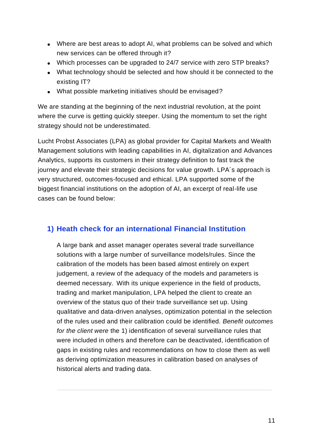- Where are best areas to adopt AI, what problems can be solved and which new services can be offered through it?
- Which processes can be upgraded to 24/7 service with zero STP breaks?
- What technology should be selected and how should it be connected to the existing IT?
- What possible marketing initiatives should be envisaged?

We are standing at the beginning of the next industrial revolution, at the point where the curve is getting quickly steeper. Using the momentum to set the right strategy should not be underestimated.

Lucht Probst Associates (LPA) as global provider for Capital Markets and Wealth Management solutions with leading capabilities in AI, digitalization and Advances Analytics, supports its customers in their strategy definition to fast track the journey and elevate their strategic decisions for value growth. LPA´s approach is very structured, outcomes-focused and ethical. LPA supported some of the biggest financial institutions on the adoption of AI, an excerpt of real-life use cases can be found below:

## **1) Heath check for an international Financial Institution**

A large bank and asset manager operates several trade surveillance solutions with a large number of surveillance models/rules. Since the calibration of the models has been based almost entirely on expert judgement, a review of the adequacy of the models and parameters is deemed necessary. With its unique experience in the field of products, trading and market manipulation, LPA helped the client to create an overview of the status quo of their trade surveillance set up. Using qualitative and data-driven analyses, optimization potential in the selection of the rules used and their calibration could be identified*. Benefit outcomes for the client were* the 1) identification of several surveillance rules that were included in others and therefore can be deactivated, identification of gaps in existing rules and recommendations on how to close them as well as deriving optimization measures in calibration based on analyses of historical alerts and trading data.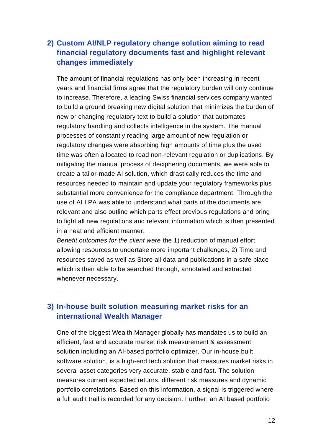## **2) Custom AI/NLP regulatory change solution aiming to read financial regulatory documents fast and highlight relevant changes immediately**

The amount of financial regulations has only been increasing in recent years and financial firms agree that the regulatory burden will only continue to increase. Therefore, a leading Swiss financial services company wanted to build a ground breaking new digital solution that minimizes the burden of new or changing regulatory text to build a solution that automates regulatory handling and collects intelligence in the system. The manual processes of constantly reading large amount of new regulation or regulatory changes were absorbing high amounts of time plus the used time was often allocated to read non-relevant regulation or duplications. By mitigating the manual process of deciphering documents, we were able to create a tailor-made AI solution, which drastically reduces the time and resources needed to maintain and update your regulatory frameworks plus substantial more convenience for the compliance department. Through the use of AI LPA was able to understand what parts of the documents are relevant and also outline which parts effect previous regulations and bring to light all new regulations and relevant information which is then presented in a neat and efficient manner.

*Benefit outcomes for the client were* the 1) reduction of manual effort allowing resources to undertake more important challenges, 2) Time and resources saved as well as Store all data and publications in a safe place which is then able to be searched through, annotated and extracted whenever necessary.

## **3) In-house built solution measuring market risks for an international Wealth Manager**

One of the biggest Wealth Manager globally has mandates us to build an efficient, fast and accurate market risk measurement & assessment solution including an AI-based portfolio optimizer. Our in-house built software solution, is a high-end tech solution that measures market risks in several asset categories very accurate, stable and fast. The solution measures current expected returns, different risk measures and dynamic portfolio correlations. Based on this information, a signal is triggered where a full audit trail is recorded for any decision. Further, an AI based portfolio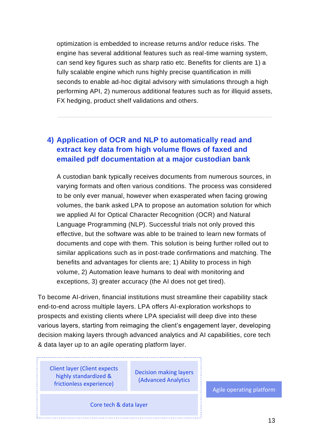optimization is embedded to increase returns and/or reduce risks. The engine has several additional features such as real-time warning system, can send key figures such as sharp ratio etc. Benefits for clients are 1) a fully scalable engine which runs highly precise quantification in milli seconds to enable ad-hoc digital advisory with simulations through a high performing API, 2) numerous additional features such as for illiquid assets, FX hedging, product shelf validations and others.

## **4) Application of OCR and NLP to automatically read and extract key data from high volume flows of faxed and emailed pdf documentation at a major custodian bank**

A custodian bank typically receives documents from numerous sources, in varying formats and often various conditions. The process was considered to be only ever manual, however when exasperated when facing growing volumes, the bank asked LPA to propose an automation solution for which we applied AI for Optical Character Recognition (OCR) and Natural Language Programming (NLP). Successful trials not only proved this effective, but the software was able to be trained to learn new formats of documents and cope with them. This solution is being further rolled out to similar applications such as in post-trade confirmations and matching. The benefits and advantages for clients are; 1) Ability to process in high volume, 2) Automation leave humans to deal with monitoring and exceptions, 3) greater accuracy (the AI does not get tired).

To become AI-driven, financial institutions must streamline their capability stack end-to-end across multiple layers. LPA offers AI-exploration workshops to prospects and existing clients where LPA specialist will deep dive into these various layers, starting from reimaging the client's engagement layer, developing decision making layers through advanced analytics and AI capabilities, core tech & data layer up to an agile operating platform layer.

Client layer (Client expects highly standardized & frictionless experience)

Decision making layers (Advanced Analytics

Core tech & data layer

Agile operating platform